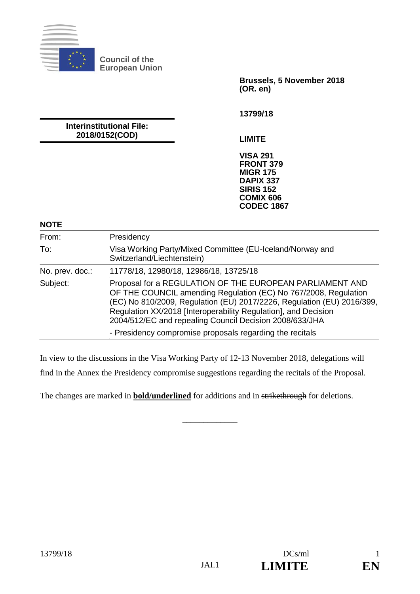

**Council of the European Union** 

> **Brussels, 5 November 2018 (OR. en)**

**13799/18** 

**Interinstitutional File: 2018/0152(COD)** 

**LIMITE** 

**VISA 291 FRONT 379 MIGR 175 DAPIX 337 SIRIS 152 COMIX 606 CODEC 1867**

## **NOTE**

| From:           | Presidency                                                                                                                                                                                                                                                                                                                         |
|-----------------|------------------------------------------------------------------------------------------------------------------------------------------------------------------------------------------------------------------------------------------------------------------------------------------------------------------------------------|
| To:             | Visa Working Party/Mixed Committee (EU-Iceland/Norway and<br>Switzerland/Liechtenstein)                                                                                                                                                                                                                                            |
| No. prev. doc.: | 11778/18, 12980/18, 12986/18, 13725/18                                                                                                                                                                                                                                                                                             |
| Subject:        | Proposal for a REGULATION OF THE EUROPEAN PARLIAMENT AND<br>OF THE COUNCIL amending Regulation (EC) No 767/2008, Regulation<br>(EC) No 810/2009, Regulation (EU) 2017/2226, Regulation (EU) 2016/399,<br>Regulation XX/2018 [Interoperability Regulation], and Decision<br>2004/512/EC and repealing Council Decision 2008/633/JHA |
|                 | - Presidency compromise proposals regarding the recitals                                                                                                                                                                                                                                                                           |

In view to the discussions in the Visa Working Party of 12-13 November 2018, delegations will

find in the Annex the Presidency compromise suggestions regarding the recitals of the Proposal.

 $\overline{\phantom{a}}$  , where  $\overline{\phantom{a}}$ 

The changes are marked in **bold/underlined** for additions and in strikethrough for deletions.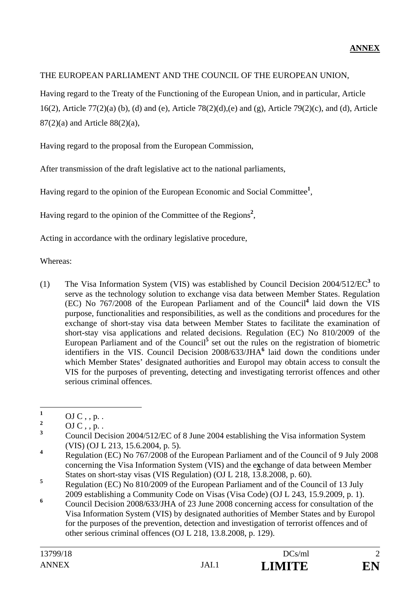## THE EUROPEAN PARLIAMENT AND THE COUNCIL OF THE EUROPEAN UNION,

Having regard to the Treaty of the Functioning of the European Union, and in particular, Article 16(2), Article 77(2)(a) (b), (d) and (e), Article 78(2)(d),(e) and (g), Article 79(2)(c), and (d), Article 87(2)(a) and Article 88(2)(a),

Having regard to the proposal from the European Commission,

After transmission of the draft legislative act to the national parliaments,

Having regard to the opinion of the European Economic and Social Committee**<sup>1</sup>** ,

Having regard to the opinion of the Committee of the Regions<sup>2</sup>,

Acting in accordance with the ordinary legislative procedure,

Whereas:

(1) The Visa Information System (VIS) was established by Council Decision 2004/512/EC**<sup>3</sup>** to serve as the technology solution to exchange visa data between Member States. Regulation (EC) No 767/2008 of the European Parliament and of the Council**<sup>4</sup>** laid down the VIS purpose, functionalities and responsibilities, as well as the conditions and procedures for the exchange of short-stay visa data between Member States to facilitate the examination of short-stay visa applications and related decisions. Regulation (EC) No 810/2009 of the European Parliament and of the Council<sup>5</sup> set out the rules on the registration of biometric identifiers in the VIS. Council Decision 2008/633/JHA<sup>6</sup> laid down the conditions under which Member States' designated authorities and Europol may obtain access to consult the VIS for the purposes of preventing, detecting and investigating terrorist offences and other serious criminal offences.

 **1**  $OJ C$ , , p. .

**<sup>2</sup>**  $OJC$ , , p. .

**<sup>3</sup>** Council Decision 2004/512/EC of 8 June 2004 establishing the Visa information System (VIS) (OJ L 213, 15.6.2004, p. 5).

**<sup>4</sup>** Regulation (EC) No 767/2008 of the European Parliament and of the Council of 9 July 2008 concerning the Visa Information System (VIS) and the e**x**change of data between Member States on short-stay visas (VIS Regulation) (OJ L 218, 13.8.2008, p. 60).

**<sup>5</sup>** Regulation (EC) No 810/2009 of the European Parliament and of the Council of 13 July 2009 establishing a Community Code on Visas (Visa Code) (OJ L 243, 15.9.2009, p. 1).

**<sup>6</sup>** Council Decision 2008/633/JHA of 23 June 2008 concerning access for consultation of the Visa Information System (VIS) by designated authorities of Member States and by Europol for the purposes of the prevention, detection and investigation of terrorist offences and of other serious criminal offences (OJ L 218, 13.8.2008, p. 129).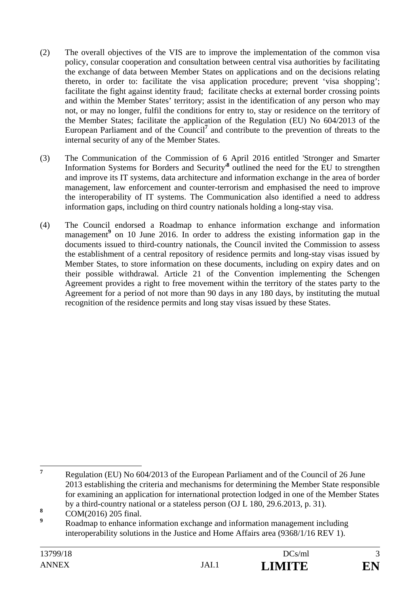- (2) The overall objectives of the VIS are to improve the implementation of the common visa policy, consular cooperation and consultation between central visa authorities by facilitating the exchange of data between Member States on applications and on the decisions relating thereto, in order to: facilitate the visa application procedure; prevent 'visa shopping'; facilitate the fight against identity fraud; facilitate checks at external border crossing points and within the Member States' territory; assist in the identification of any person who may not, or may no longer, fulfil the conditions for entry to, stay or residence on the territory of the Member States; facilitate the application of the Regulation (EU) No 604/2013 of the European Parliament and of the Council<sup>7</sup> and contribute to the prevention of threats to the internal security of any of the Member States.
- (3) The Communication of the Commission of 6 April 2016 entitled 'Stronger and Smarter Information Systems for Borders and Security<sup>8</sup> outlined the need for the EU to strengthen and improve its IT systems, data architecture and information exchange in the area of border management, law enforcement and counter-terrorism and emphasised the need to improve the interoperability of IT systems. The Communication also identified a need to address information gaps, including on third country nationals holding a long-stay visa.
- (4) The Council endorsed a Roadmap to enhance information exchange and information management<sup>9</sup> on 10 June 2016. In order to address the existing information gap in the documents issued to third-country nationals, the Council invited the Commission to assess the establishment of a central repository of residence permits and long-stay visas issued by Member States, to store information on these documents, including on expiry dates and on their possible withdrawal. Article 21 of the Convention implementing the Schengen Agreement provides a right to free movement within the territory of the states party to the Agreement for a period of not more than 90 days in any 180 days, by instituting the mutual recognition of the residence permits and long stay visas issued by these States.

 **7** Regulation (EU) No 604/2013 of the European Parliament and of the Council of 26 June 2013 establishing the criteria and mechanisms for determining the Member State responsible for examining an application for international protection lodged in one of the Member States by a third-country national or a stateless person (OJ L 180, 29.6.2013, p. 31).

**<sup>8</sup>** COM(2016) 205 final.

**<sup>9</sup>** Roadmap to enhance information exchange and information management including interoperability solutions in the Justice and Home Affairs area (9368/1/16 REV 1).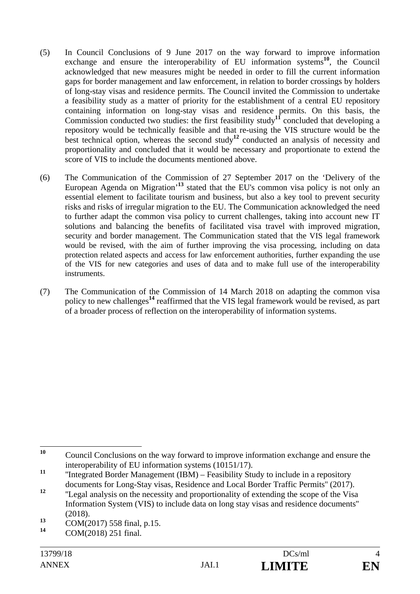- (5) In Council Conclusions of 9 June 2017 on the way forward to improve information exchange and ensure the interoperability of EU information systems<sup>10</sup>, the Council acknowledged that new measures might be needed in order to fill the current information gaps for border management and law enforcement, in relation to border crossings by holders of long-stay visas and residence permits. The Council invited the Commission to undertake a feasibility study as a matter of priority for the establishment of a central EU repository containing information on long-stay visas and residence permits. On this basis, the Commission conducted two studies: the first feasibility study**<sup>11</sup>** concluded that developing a repository would be technically feasible and that re-using the VIS structure would be the best technical option, whereas the second study<sup>12</sup> conducted an analysis of necessity and proportionality and concluded that it would be necessary and proportionate to extend the score of VIS to include the documents mentioned above.
- (6) The Communication of the Commission of 27 September 2017 on the 'Delivery of the European Agenda on Migration<sup>13</sup> stated that the EU's common visa policy is not only an essential element to facilitate tourism and business, but also a key tool to prevent security risks and risks of irregular migration to the EU. The Communication acknowledged the need to further adapt the common visa policy to current challenges, taking into account new IT solutions and balancing the benefits of facilitated visa travel with improved migration, security and border management. The Communication stated that the VIS legal framework would be revised, with the aim of further improving the visa processing, including on data protection related aspects and access for law enforcement authorities, further expanding the use of the VIS for new categories and uses of data and to make full use of the interoperability instruments.
- (7) The Communication of the Commission of 14 March 2018 on adapting the common visa policy to new challenges**<sup>14</sup>** reaffirmed that the VIS legal framework would be revised, as part of a broader process of reflection on the interoperability of information systems.

 $10$ **<sup>10</sup>** Council Conclusions on the way forward to improve information exchange and ensure the interoperability of EU information systems (10151/17).

<sup>&</sup>lt;sup>11</sup> "Integrated Border Management (IBM) – Feasibility Study to include in a repository documents for Long-Stay visas, Residence and Local Border Traffic Permits'' (2017).

<sup>&</sup>lt;sup>12</sup> "Legal analysis on the necessity and proportionality of extending the scope of the Visa Information System (VIS) to include data on long stay visas and residence documents'' (2018).

 $\frac{13}{14}$  COM(2017) 558 final, p.15.

**<sup>14</sup>** COM(2018) 251 final.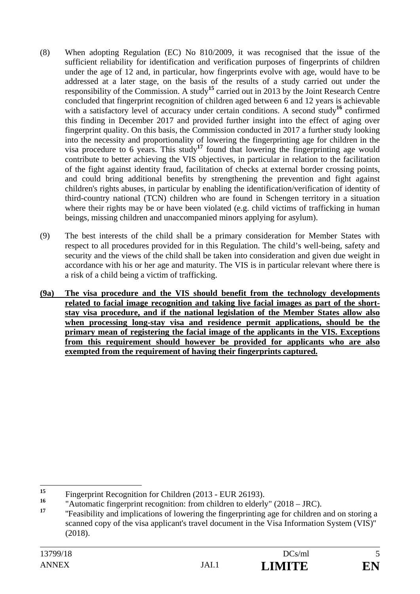- (8) When adopting Regulation (EC) No 810/2009, it was recognised that the issue of the sufficient reliability for identification and verification purposes of fingerprints of children under the age of 12 and, in particular, how fingerprints evolve with age, would have to be addressed at a later stage, on the basis of the results of a study carried out under the responsibility of the Commission. A study**<sup>15</sup>** carried out in 2013 by the Joint Research Centre concluded that fingerprint recognition of children aged between 6 and 12 years is achievable with a satisfactory level of accuracy under certain conditions. A second study<sup>16</sup> confirmed this finding in December 2017 and provided further insight into the effect of aging over fingerprint quality. On this basis, the Commission conducted in 2017 a further study looking into the necessity and proportionality of lowering the fingerprinting age for children in the visa procedure to 6 years. This study**<sup>17</sup>** found that lowering the fingerprinting age would contribute to better achieving the VIS objectives, in particular in relation to the facilitation of the fight against identity fraud, facilitation of checks at external border crossing points, and could bring additional benefits by strengthening the prevention and fight against children's rights abuses, in particular by enabling the identification/verification of identity of third-country national (TCN) children who are found in Schengen territory in a situation where their rights may be or have been violated (e.g. child victims of trafficking in human beings, missing children and unaccompanied minors applying for asylum).
- (9) The best interests of the child shall be a primary consideration for Member States with respect to all procedures provided for in this Regulation. The child's well-being, safety and security and the views of the child shall be taken into consideration and given due weight in accordance with his or her age and maturity. The VIS is in particular relevant where there is a risk of a child being a victim of trafficking.
- **(9a) The visa procedure and the VIS should benefit from the technology developments related to facial image recognition and taking live facial images as part of the shortstay visa procedure, and if the national legislation of the Member States allow also when processing long-stay visa and residence permit applications, should be the primary mean of registering the facial image of the applicants in the VIS. Exceptions from this requirement should however be provided for applicants who are also exempted from the requirement of having their fingerprints captured.**

 $15$ <sup>15</sup> Fingerprint Recognition for Children (2013 - EUR 26193).

<sup>&</sup>lt;sup>16</sup> "Automatic fingerprint recognition: from children to elderly"  $(2018 - \text{JRC})$ .<br><sup>17</sup>

**<sup>17</sup>** ''Feasibility and implications of lowering the fingerprinting age for children and on storing a scanned copy of the visa applicant's travel document in the Visa Information System (VIS)'' (2018).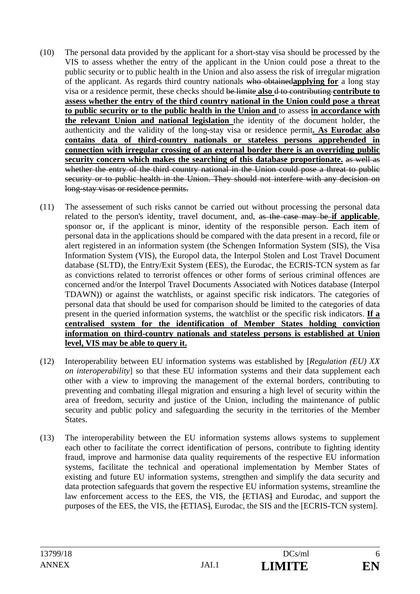- (10) The personal data provided by the applicant for a short-stay visa should be processed by the VIS to assess whether the entry of the applicant in the Union could pose a threat to the public security or to public health in the Union and also assess the risk of irregular migration of the applicant. As regards third country nationals who obtained**applying for** a long stay visa or a residence permit, these checks should be limite **also** d to contributing **contribute to assess whether the entry of the third country national in the Union could pose a threat to public security or to the public health in the Union and** to assess **in accordance with the relevant Union and national legislation** the identity of the document holder, the authenticity and the validity of the long-stay visa or residence permit**. As Eurodac also contains data of third-country nationals or stateless persons apprehended in connection with irregular crossing of an external border there is an overriding public security concern which makes the searching of this database proportionate.** as well as whether the entry of the third country national in the Union could pose a threat to public security or to public health in the Union. They should not interfere with any decision on long-stay visas or residence permits.
- (11) The assessement of such risks cannot be carried out without processing the personal data related to the person's identity, travel document, and, as the case may be-if applicable, sponsor or, if the applicant is minor, identity of the responsible person. Each item of personal data in the applications should be compared with the data present in a record, file or alert registered in an information system (the Schengen Information System (SIS), the Visa Information System (VIS), the Europol data, the Interpol Stolen and Lost Travel Document database (SLTD), the Entry/Exit System (EES), the Eurodac, the ECRIS-TCN system as far as convictions related to terrorist offences or other forms of serious criminal offences are concerned and/or the Interpol Travel Documents Associated with Notices database (Interpol TDAWN)) or against the watchlists, or against specific risk indicators. The categories of personal data that should be used for comparison should be limited to the categories of data present in the queried information systems, the watchlist or the specific risk indicators. **If a centralised system for the identification of Member States holding conviction information on third-country nationals and stateless persons is established at Union level, VIS may be able to query it.**
- (12) Interoperability between EU information systems was established by [*Regulation (EU) XX on interoperability*] so that these EU information systems and their data supplement each other with a view to improving the management of the external borders, contributing to preventing and combating illegal migration and ensuring a high level of security within the area of freedom, security and justice of the Union, including the maintenance of public security and public policy and safeguarding the security in the territories of the Member States.
- (13) The interoperability between the EU information systems allows systems to supplement each other to facilitate the correct identification of persons, contribute to fighting identity fraud, improve and harmonise data quality requirements of the respective EU information systems, facilitate the technical and operational implementation by Member States of existing and future EU information systems, strengthen and simplify the data security and data protection safeguards that govern the respective EU information systems, streamline the law enforcement access to the EES, the VIS, the  $FETIAS$  and Eurodac, and support the purposes of the EES, the VIS, the  $FITIAS$ , Eurodac, the SIS and the [ECRIS-TCN system].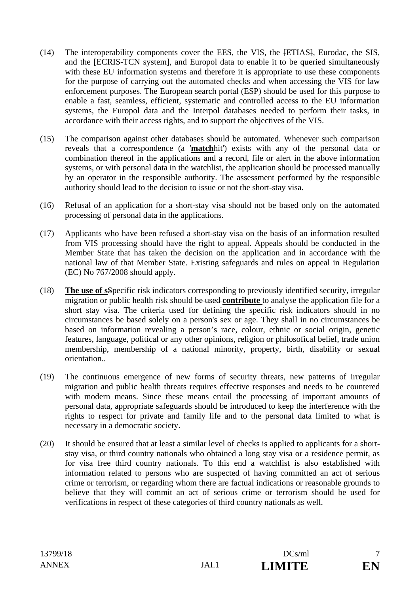- (14) The interoperability components cover the EES, the VIS, the [ETIAS], Eurodac, the SIS, and the [ECRIS-TCN system], and Europol data to enable it to be queried simultaneously with these EU information systems and therefore it is appropriate to use these components for the purpose of carrying out the automated checks and when accessing the VIS for law enforcement purposes. The European search portal (ESP) should be used for this purpose to enable a fast, seamless, efficient, systematic and controlled access to the EU information systems, the Europol data and the Interpol databases needed to perform their tasks, in accordance with their access rights, and to support the objectives of the VIS.
- (15) The comparison against other databases should be automated. Whenever such comparison reveals that a correspondence (a '**match**hit') exists with any of the personal data or combination thereof in the applications and a record, file or alert in the above information systems, or with personal data in the watchlist, the application should be processed manually by an operator in the responsible authority. The assessment performed by the responsible authority should lead to the decision to issue or not the short-stay visa.
- (16) Refusal of an application for a short-stay visa should not be based only on the automated processing of personal data in the applications.
- (17) Applicants who have been refused a short-stay visa on the basis of an information resulted from VIS processing should have the right to appeal. Appeals should be conducted in the Member State that has taken the decision on the application and in accordance with the national law of that Member State. Existing safeguards and rules on appeal in Regulation (EC) No 767/2008 should apply.
- (18) **The use of s**Specific risk indicators corresponding to previously identified security, irregular migration or public health risk should be used **contribute** to analyse the application file for a short stay visa. The criteria used for defining the specific risk indicators should in no circumstances be based solely on a person's sex or age. They shall in no circumstances be based on information revealing a person's race, colour, ethnic or social origin, genetic features, language, political or any other opinions, religion or philosofical belief, trade union membership, membership of a national minority, property, birth, disability or sexual orientation..
- (19) The continuous emergence of new forms of security threats, new patterns of irregular migration and public health threats requires effective responses and needs to be countered with modern means. Since these means entail the processing of important amounts of personal data, appropriate safeguards should be introduced to keep the interference with the rights to respect for private and family life and to the personal data limited to what is necessary in a democratic society.
- (20) It should be ensured that at least a similar level of checks is applied to applicants for a shortstay visa, or third country nationals who obtained a long stay visa or a residence permit, as for visa free third country nationals. To this end a watchlist is also established with information related to persons who are suspected of having committed an act of serious crime or terrorism, or regarding whom there are factual indications or reasonable grounds to believe that they will commit an act of serious crime or terrorism should be used for verifications in respect of these categories of third country nationals as well.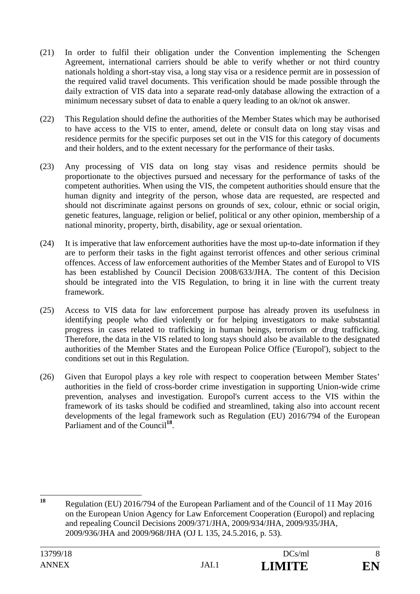- (21) In order to fulfil their obligation under the Convention implementing the Schengen Agreement, international carriers should be able to verify whether or not third country nationals holding a short-stay visa, a long stay visa or a residence permit are in possession of the required valid travel documents. This verification should be made possible through the daily extraction of VIS data into a separate read-only database allowing the extraction of a minimum necessary subset of data to enable a query leading to an ok/not ok answer.
- (22) This Regulation should define the authorities of the Member States which may be authorised to have access to the VIS to enter, amend, delete or consult data on long stay visas and residence permits for the specific purposes set out in the VIS for this category of documents and their holders, and to the extent necessary for the performance of their tasks.
- (23) Any processing of VIS data on long stay visas and residence permits should be proportionate to the objectives pursued and necessary for the performance of tasks of the competent authorities. When using the VIS, the competent authorities should ensure that the human dignity and integrity of the person, whose data are requested, are respected and should not discriminate against persons on grounds of sex, colour, ethnic or social origin, genetic features, language, religion or belief, political or any other opinion, membership of a national minority, property, birth, disability, age or sexual orientation.
- (24) It is imperative that law enforcement authorities have the most up-to-date information if they are to perform their tasks in the fight against terrorist offences and other serious criminal offences. Access of law enforcement authorities of the Member States and of Europol to VIS has been established by Council Decision 2008/633/JHA. The content of this Decision should be integrated into the VIS Regulation, to bring it in line with the current treaty framework.
- (25) Access to VIS data for law enforcement purpose has already proven its usefulness in identifying people who died violently or for helping investigators to make substantial progress in cases related to trafficking in human beings, terrorism or drug trafficking. Therefore, the data in the VIS related to long stays should also be available to the designated authorities of the Member States and the European Police Office ('Europol'), subject to the conditions set out in this Regulation.
- (26) Given that Europol plays a key role with respect to cooperation between Member States' authorities in the field of cross-border crime investigation in supporting Union-wide crime prevention, analyses and investigation. Europol's current access to the VIS within the framework of its tasks should be codified and streamlined, taking also into account recent developments of the legal framework such as Regulation (EU) 2016/794 of the European Parliament and of the Council<sup>18</sup>.

<sup>18</sup> **<sup>18</sup>** Regulation (EU) 2016/794 of the European Parliament and of the Council of 11 May 2016 on the European Union Agency for Law Enforcement Cooperation (Europol) and replacing and repealing Council Decisions 2009/371/JHA, 2009/934/JHA, 2009/935/JHA, 2009/936/JHA and 2009/968/JHA (OJ L 135, 24.5.2016, p. 53).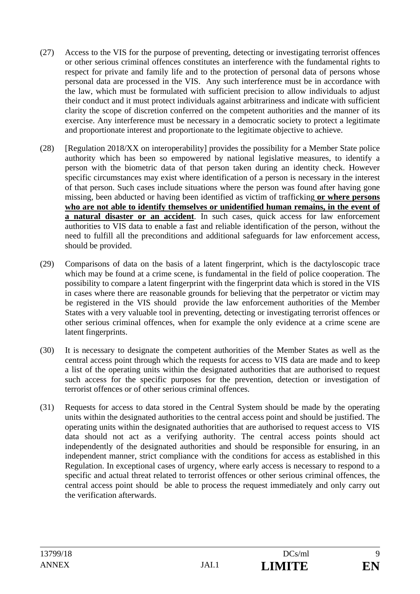- (27) Access to the VIS for the purpose of preventing, detecting or investigating terrorist offences or other serious criminal offences constitutes an interference with the fundamental rights to respect for private and family life and to the protection of personal data of persons whose personal data are processed in the VIS. Any such interference must be in accordance with the law, which must be formulated with sufficient precision to allow individuals to adjust their conduct and it must protect individuals against arbitrariness and indicate with sufficient clarity the scope of discretion conferred on the competent authorities and the manner of its exercise. Any interference must be necessary in a democratic society to protect a legitimate and proportionate interest and proportionate to the legitimate objective to achieve.
- (28) [Regulation 2018/XX on interoperability] provides the possibility for a Member State police authority which has been so empowered by national legislative measures, to identify a person with the biometric data of that person taken during an identity check. However specific circumstances may exist where identification of a person is necessary in the interest of that person. Such cases include situations where the person was found after having gone missing, been abducted or having been identified as victim of trafficking **or where persons who are not able to identify themselves or unidentified human remains, in the event of a natural disaster or an accident**. In such cases, quick access for law enforcement authorities to VIS data to enable a fast and reliable identification of the person, without the need to fulfill all the preconditions and additional safeguards for law enforcement access, should be provided.
- (29) Comparisons of data on the basis of a latent fingerprint, which is the dactyloscopic trace which may be found at a crime scene, is fundamental in the field of police cooperation. The possibility to compare a latent fingerprint with the fingerprint data which is stored in the VIS in cases where there are reasonable grounds for believing that the perpetrator or victim may be registered in the VIS should provide the law enforcement authorities of the Member States with a very valuable tool in preventing, detecting or investigating terrorist offences or other serious criminal offences, when for example the only evidence at a crime scene are latent fingerprints.
- (30) It is necessary to designate the competent authorities of the Member States as well as the central access point through which the requests for access to VIS data are made and to keep a list of the operating units within the designated authorities that are authorised to request such access for the specific purposes for the prevention, detection or investigation of terrorist offences or of other serious criminal offences.
- (31) Requests for access to data stored in the Central System should be made by the operating units within the designated authorities to the central access point and should be justified. The operating units within the designated authorities that are authorised to request access to VIS data should not act as a verifying authority. The central access points should act independently of the designated authorities and should be responsible for ensuring, in an independent manner, strict compliance with the conditions for access as established in this Regulation. In exceptional cases of urgency, where early access is necessary to respond to a specific and actual threat related to terrorist offences or other serious criminal offences, the central access point should be able to process the request immediately and only carry out the verification afterwards.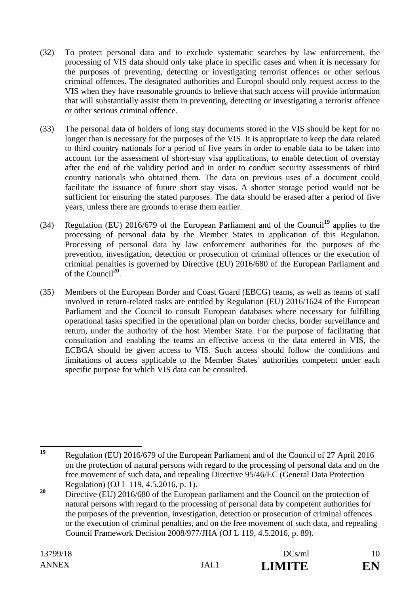- (32) To protect personal data and to exclude systematic searches by law enforcement, the processing of VIS data should only take place in specific cases and when it is necessary for the purposes of preventing, detecting or investigating terrorist offences or other serious criminal offences. The designated authorities and Europol should only request access to the VIS when they have reasonable grounds to believe that such access will provide information that will substantially assist them in preventing, detecting or investigating a terrorist offence or other serious criminal offence.
- (33) The personal data of holders of long stay documents stored in the VIS should be kept for no longer than is necessary for the purposes of the VIS. It is appropriate to keep the data related to third country nationals for a period of five years in order to enable data to be taken into account for the assessment of short-stay visa applications, to enable detection of overstay after the end of the validity period and in order to conduct security assessments of third country nationals who obtained them. The data on previous uses of a document could facilitate the issuance of future short stay visas. A shorter storage period would not be sufficient for ensuring the stated purposes. The data should be erased after a period of five years, unless there are grounds to erase them earlier.
- (34) Regulation (EU) 2016/679 of the European Parliament and of the Council**<sup>19</sup>** applies to the processing of personal data by the Member States in application of this Regulation. Processing of personal data by law enforcement authorities for the purposes of the prevention, investigation, detection or prosecution of criminal offences or the execution of criminal penalties is governed by Directive (EU) 2016/680 of the European Parliament and of the Council**<sup>20</sup>**.
- (35) Members of the European Border and Coast Guard (EBCG) teams, as well as teams of staff involved in return-related tasks are entitled by Regulation (EU) 2016/1624 of the European Parliament and the Council to consult European databases where necessary for fulfilling operational tasks specified in the operational plan on border checks, border surveillance and return, under the authority of the host Member State. For the purpose of facilitating that consultation and enabling the teams an effective access to the data entered in VIS, the ECBGA should be given access to VIS. Such access should follow the conditions and limitations of access applicable to the Member States' authorities competent under each specific purpose for which VIS data can be consulted.

 $19$ **<sup>19</sup>** Regulation (EU) 2016/679 of the European Parliament and of the Council of 27 April 2016 on the protection of natural persons with regard to the processing of personal data and on the free movement of such data, and repealing Directive 95/46/EC (General Data Protection Regulation) (OJ L 119, 4.5.2016, p. 1).

<sup>&</sup>lt;sup>20</sup> Directive (EU) 2016/680 of the European parliament and the Council on the protection of natural persons with regard to the processing of personal data by competent authorities for the purposes of the prevention, investigation, detection or prosecution of criminal offences or the execution of criminal penalties, and on the free movement of such data, and repealing Council Framework Decision 2008/977/JHA (OJ L 119, 4.5.2016, p. 89).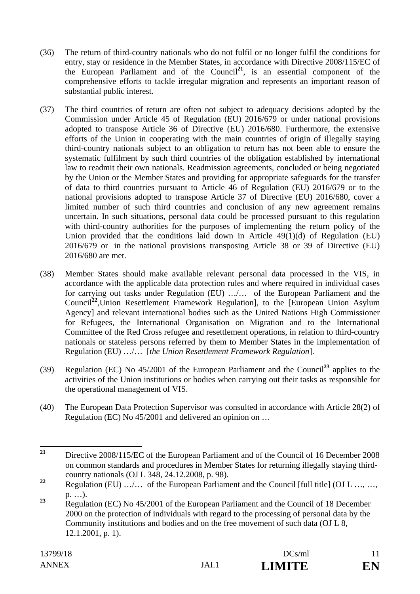- (36) The return of third-country nationals who do not fulfil or no longer fulfil the conditions for entry, stay or residence in the Member States, in accordance with Directive 2008/115/EC of the European Parliament and of the Council**<sup>21</sup>**, is an essential component of the comprehensive efforts to tackle irregular migration and represents an important reason of substantial public interest.
- (37) The third countries of return are often not subject to adequacy decisions adopted by the Commission under Article 45 of Regulation (EU) 2016/679 or under national provisions adopted to transpose Article 36 of Directive (EU) 2016/680. Furthermore, the extensive efforts of the Union in cooperating with the main countries of origin of illegally staying third-country nationals subject to an obligation to return has not been able to ensure the systematic fulfilment by such third countries of the obligation established by international law to readmit their own nationals. Readmission agreements, concluded or being negotiated by the Union or the Member States and providing for appropriate safeguards for the transfer of data to third countries pursuant to Article 46 of Regulation (EU) 2016/679 or to the national provisions adopted to transpose Article 37 of Directive (EU) 2016/680, cover a limited number of such third countries and conclusion of any new agreement remains uncertain. In such situations, personal data could be processed pursuant to this regulation with third-country authorities for the purposes of implementing the return policy of the Union provided that the conditions laid down in Article 49(1)(d) of Regulation (EU) 2016/679 or in the national provisions transposing Article 38 or 39 of Directive (EU) 2016/680 are met.
- (38) Member States should make available relevant personal data processed in the VIS, in accordance with the applicable data protection rules and where required in individual cases for carrying out tasks under Regulation (EU) …/… of the European Parliament and the Council**<sup>22</sup>**,Union Resettlement Framework Regulation], to the [European Union Asylum Agency] and relevant international bodies such as the United Nations High Commissioner for Refugees, the International Organisation on Migration and to the International Committee of the Red Cross refugee and resettlement operations, in relation to third-country nationals or stateless persons referred by them to Member States in the implementation of Regulation (EU) …/… [*the Union Resettlement Framework Regulation*].
- (39) Regulation (EC) No 45/2001 of the European Parliament and the Council**<sup>23</sup>** applies to the activities of the Union institutions or bodies when carrying out their tasks as responsible for the operational management of VIS.
- (40) The European Data Protection Supervisor was consulted in accordance with Article 28(2) of Regulation (EC) No 45/2001 and delivered an opinion on …

 $21$ **<sup>21</sup>** Directive 2008/115/EC of the European Parliament and of the Council of 16 December 2008 on common standards and procedures in Member States for returning illegally staying thirdcountry nationals (OJ L 348, 24.12.2008, p. 98).

<sup>&</sup>lt;sup>22</sup> Regulation (EU) …/… of the European Parliament and the Council [full title] (OJ L …, …, p. …).

<sup>&</sup>lt;sup>23</sup> Regulation (EC) No 45/2001 of the European Parliament and the Council of 18 December 2000 on the protection of individuals with regard to the processing of personal data by the Community institutions and bodies and on the free movement of such data (OJ L 8, 12.1.2001, p. 1).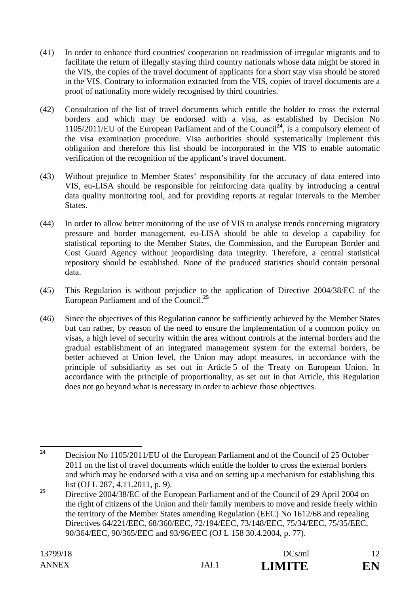- (41) In order to enhance third countries' cooperation on readmission of irregular migrants and to facilitate the return of illegally staying third country nationals whose data might be stored in the VIS, the copies of the travel document of applicants for a short stay visa should be stored in the VIS. Contrary to information extracted from the VIS, copies of travel documents are a proof of nationality more widely recognised by third countries.
- (42) Consultation of the list of travel documents which entitle the holder to cross the external borders and which may be endorsed with a visa, as established by Decision No 1105/2011/EU of the European Parliament and of the Council**<sup>24</sup>**, is a compulsory element of the visa examination procedure. Visa authorities should systematically implement this obligation and therefore this list should be incorporated in the VIS to enable automatic verification of the recognition of the applicant's travel document.
- (43) Without prejudice to Member States' responsibility for the accuracy of data entered into VIS, eu-LISA should be responsible for reinforcing data quality by introducing a central data quality monitoring tool, and for providing reports at regular intervals to the Member States.
- (44) In order to allow better monitoring of the use of VIS to analyse trends concerning migratory pressure and border management, eu-LISA should be able to develop a capability for statistical reporting to the Member States, the Commission, and the European Border and Cost Guard Agency without jeopardising data integrity. Therefore, a central statistical repository should be established. None of the produced statistics should contain personal data.
- (45) This Regulation is without prejudice to the application of Directive 2004/38/EC of the European Parliament and of the Council.**<sup>25</sup>**
- (46) Since the objectives of this Regulation cannot be sufficiently achieved by the Member States but can rather, by reason of the need to ensure the implementation of a common policy on visas, a high level of security within the area without controls at the internal borders and the gradual establishment of an integrated management system for the external borders, be better achieved at Union level, the Union may adopt measures, in accordance with the principle of subsidiarity as set out in Article 5 of the Treaty on European Union. In accordance with the principle of proportionality, as set out in that Article, this Regulation does not go beyond what is necessary in order to achieve those objectives.

 $24$ **<sup>24</sup>** Decision No 1105/2011/EU of the European Parliament and of the Council of 25 October 2011 on the list of travel documents which entitle the holder to cross the external borders and which may be endorsed with a visa and on setting up a mechanism for establishing this list (OJ L 287, 4.11.2011, p. 9).

<sup>&</sup>lt;sup>25</sup> Directive 2004/38/EC of the European Parliament and of the Council of 29 April 2004 on the right of citizens of the Union and their family members to move and reside freely within the territory of the Member States amending Regulation (EEC) No 1612/68 and repealing Directives 64/221/EEC, 68/360/EEC, 72/194/EEC, 73/148/EEC, 75/34/EEC, 75/35/EEC, 90/364/EEC, 90/365/EEC and 93/96/EEC (OJ L 158 30.4.2004, p. 77).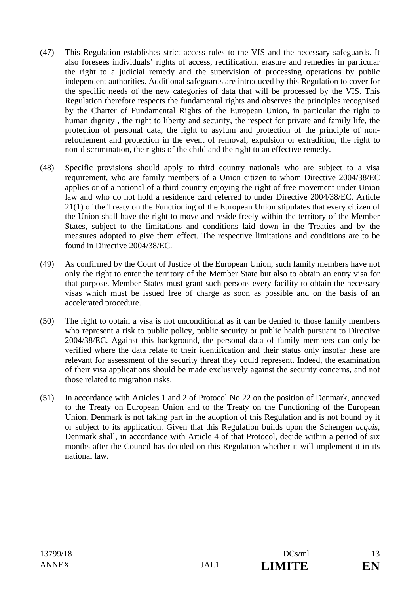- (47) This Regulation establishes strict access rules to the VIS and the necessary safeguards. It also foresees individuals' rights of access, rectification, erasure and remedies in particular the right to a judicial remedy and the supervision of processing operations by public independent authorities. Additional safeguards are introduced by this Regulation to cover for the specific needs of the new categories of data that will be processed by the VIS. This Regulation therefore respects the fundamental rights and observes the principles recognised by the Charter of Fundamental Rights of the European Union, in particular the right to human dignity , the right to liberty and security, the respect for private and family life, the protection of personal data, the right to asylum and protection of the principle of nonrefoulement and protection in the event of removal, expulsion or extradition, the right to non-discrimination, the rights of the child and the right to an effective remedy.
- (48) Specific provisions should apply to third country nationals who are subject to a visa requirement, who are family members of a Union citizen to whom Directive 2004/38/EC applies or of a national of a third country enjoying the right of free movement under Union law and who do not hold a residence card referred to under Directive 2004/38/EC. Article 21(1) of the Treaty on the Functioning of the European Union stipulates that every citizen of the Union shall have the right to move and reside freely within the territory of the Member States, subject to the limitations and conditions laid down in the Treaties and by the measures adopted to give them effect. The respective limitations and conditions are to be found in Directive 2004/38/EC.
- (49) As confirmed by the Court of Justice of the European Union, such family members have not only the right to enter the territory of the Member State but also to obtain an entry visa for that purpose. Member States must grant such persons every facility to obtain the necessary visas which must be issued free of charge as soon as possible and on the basis of an accelerated procedure.
- (50) The right to obtain a visa is not unconditional as it can be denied to those family members who represent a risk to public policy, public security or public health pursuant to Directive 2004/38/EC. Against this background, the personal data of family members can only be verified where the data relate to their identification and their status only insofar these are relevant for assessment of the security threat they could represent. Indeed, the examination of their visa applications should be made exclusively against the security concerns, and not those related to migration risks.
- (51) In accordance with Articles 1 and 2 of Protocol No 22 on the position of Denmark, annexed to the Treaty on European Union and to the Treaty on the Functioning of the European Union, Denmark is not taking part in the adoption of this Regulation and is not bound by it or subject to its application. Given that this Regulation builds upon the Schengen *acquis*, Denmark shall, in accordance with Article 4 of that Protocol, decide within a period of six months after the Council has decided on this Regulation whether it will implement it in its national law.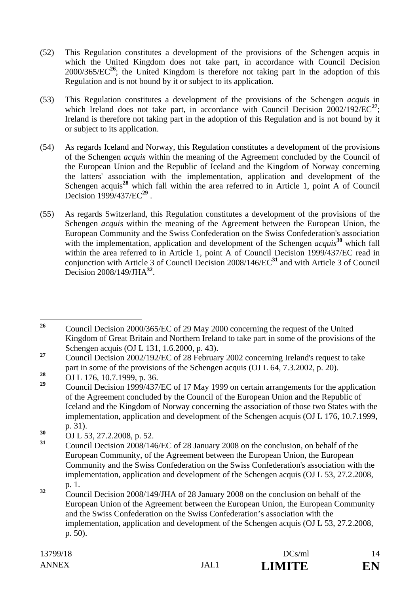- (52) This Regulation constitutes a development of the provisions of the Schengen acquis in which the United Kingdom does not take part, in accordance with Council Decision  $2000/365/EC^{26}$ ; the United Kingdom is therefore not taking part in the adoption of this Regulation and is not bound by it or subject to its application.
- (53) This Regulation constitutes a development of the provisions of the Schengen *acquis* in which Ireland does not take part, in accordance with Council Decision  $2002/192/EC^{27}$ ; Ireland is therefore not taking part in the adoption of this Regulation and is not bound by it or subject to its application.
- (54) As regards Iceland and Norway, this Regulation constitutes a development of the provisions of the Schengen *acquis* within the meaning of the Agreement concluded by the Council of the European Union and the Republic of Iceland and the Kingdom of Norway concerning the latters' association with the implementation, application and development of the Schengen acquis<sup>28</sup> which fall within the area referred to in Article 1, point A of Council Decision 1999/437/EC**<sup>29</sup>** .
- (55) As regards Switzerland, this Regulation constitutes a development of the provisions of the Schengen *acquis* within the meaning of the Agreement between the European Union, the European Community and the Swiss Confederation on the Swiss Confederation's association with the implementation, application and development of the Schengen *acquis*<sup>30</sup> which fall within the area referred to in Article 1, point A of Council Decision 1999/437/EC read in conjunction with Article 3 of Council Decision 2008/146/EC**<sup>31</sup>** and with Article 3 of Council Decision 2008/149/JHA**<sup>32</sup>**.

 $26$ **<sup>26</sup>** Council Decision 2000/365/EC of 29 May 2000 concerning the request of the United Kingdom of Great Britain and Northern Ireland to take part in some of the provisions of the Schengen acquis (OJ L 131, 1.6.2000, p. 43).

<sup>&</sup>lt;sup>27</sup> Council Decision 2002/192/EC of 28 February 2002 concerning Ireland's request to take part in some of the provisions of the Schengen acquis (OJ L 64, 7.3.2002, p. 20).

<sup>28</sup> OJ L 176, 10.7.1999, p. 36.<br> **29** Osmail Decision 1000/427

**<sup>29</sup>** Council Decision 1999/437/EC of 17 May 1999 on certain arrangements for the application of the Agreement concluded by the Council of the European Union and the Republic of Iceland and the Kingdom of Norway concerning the association of those two States with the implementation, application and development of the Schengen acquis (OJ L 176, 10.7.1999, p. 31).

<sup>&</sup>lt;sup>30</sup> OJ L 53, 27.2.2008, p. 52.<br><sup>31</sup> Council Decision 2008/146/EC of 28 January 2008 on the conclusion, on behalf of the European Community, of the Agreement between the European Union, the European Community and the Swiss Confederation on the Swiss Confederation's association with the implementation, application and development of the Schengen acquis (OJ L 53, 27.2.2008, p. 1.

<sup>&</sup>lt;sup>32</sup> Council Decision 2008/149/JHA of 28 January 2008 on the conclusion on behalf of the European Union of the Agreement between the European Union, the European Community and the Swiss Confederation on the Swiss Confederation's association with the implementation, application and development of the Schengen acquis (OJ L 53, 27.2.2008, p. 50).